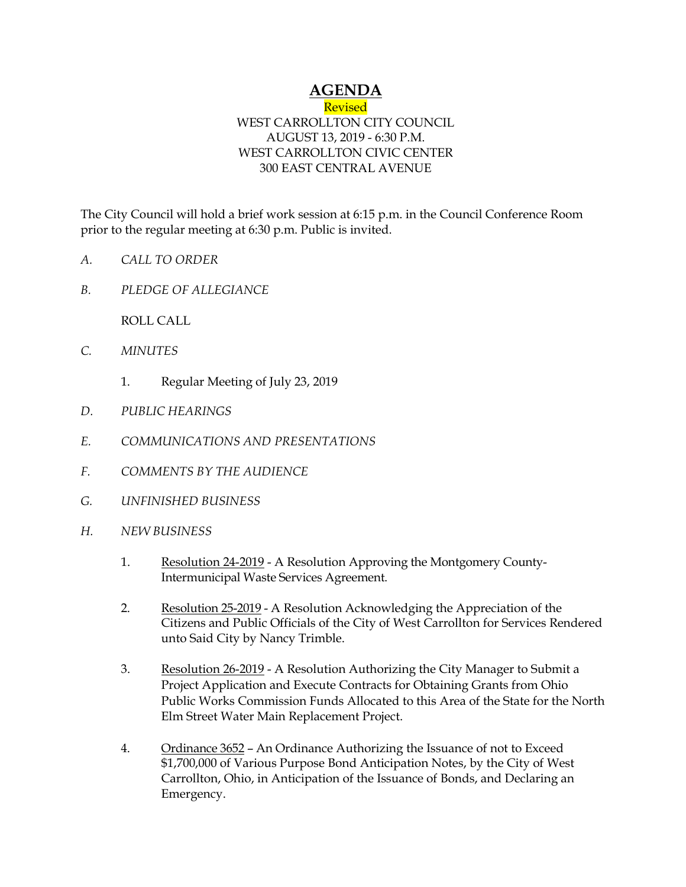## **AGENDA**

## **Revised** WEST CARROLLTON CITY COUNCIL AUGUST 13, 2019 - 6:30 P.M. WEST CARROLLTON CIVIC CENTER 300 EAST CENTRAL AVENUE

The City Council will hold a brief work session at 6:15 p.m. in the Council Conference Room prior to the regular meeting at 6:30 p.m. Public is invited.

- *A. CALL TO ORDER*
- *B. PLEDGE OF ALLEGIANCE*

ROLL CALL

- *C. MINUTES* 
	- 1. Regular Meeting of July 23, 2019
- *D. PUBLIC HEARINGS*
- *E. COMMUNICATIONS AND PRESENTATIONS*
- *F. COMMENTS BY THE AUDIENCE*
- *G. UNFINISHED BUSINESS*
- *H. NEW BUSINESS* 
	- 1. Resolution 24-2019 A Resolution Approving the Montgomery County-Intermunicipal Waste Services Agreement.
	- 2. Resolution 25-2019 A Resolution Acknowledging the Appreciation of the Citizens and Public Officials of the City of West Carrollton for Services Rendered unto Said City by Nancy Trimble.
	- 3. Resolution 26-2019 A Resolution Authorizing the City Manager to Submit a Project Application and Execute Contracts for Obtaining Grants from Ohio Public Works Commission Funds Allocated to this Area of the State for the North Elm Street Water Main Replacement Project.
	- 4. Ordinance 3652 An Ordinance Authorizing the Issuance of not to Exceed \$1,700,000 of Various Purpose Bond Anticipation Notes, by the City of West Carrollton, Ohio, in Anticipation of the Issuance of Bonds, and Declaring an Emergency.